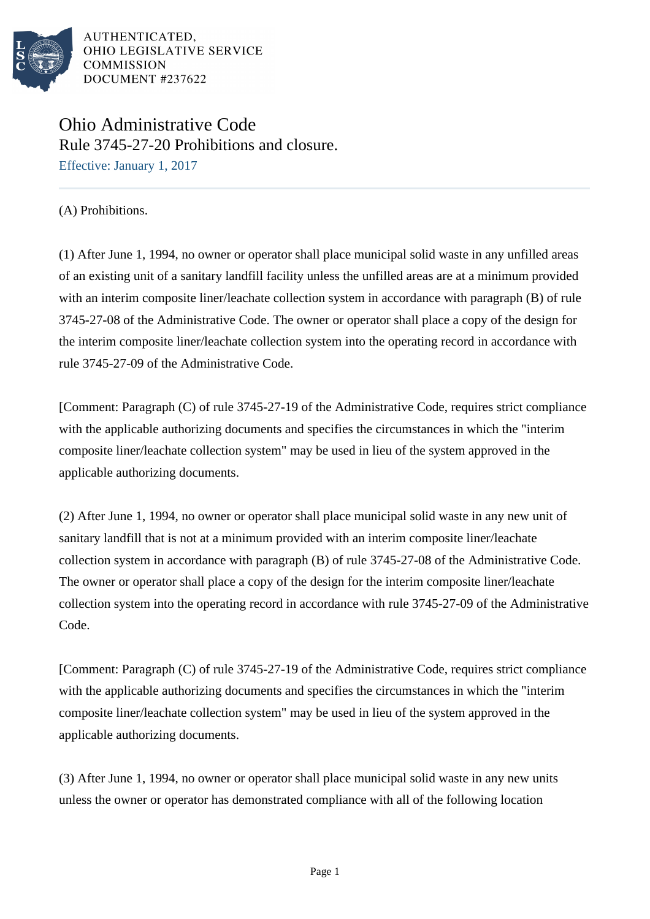

AUTHENTICATED, OHIO LEGISLATIVE SERVICE **COMMISSION** DOCUMENT #237622

## Ohio Administrative Code Rule 3745-27-20 Prohibitions and closure.

Effective: January 1, 2017

(A) Prohibitions.

(1) After June 1, 1994, no owner or operator shall place municipal solid waste in any unfilled areas of an existing unit of a sanitary landfill facility unless the unfilled areas are at a minimum provided with an interim composite liner/leachate collection system in accordance with paragraph (B) of rule 3745-27-08 of the Administrative Code. The owner or operator shall place a copy of the design for the interim composite liner/leachate collection system into the operating record in accordance with rule 3745-27-09 of the Administrative Code.

[Comment: Paragraph (C) of rule 3745-27-19 of the Administrative Code, requires strict compliance with the applicable authorizing documents and specifies the circumstances in which the "interim" composite liner/leachate collection system" may be used in lieu of the system approved in the applicable authorizing documents.

(2) After June 1, 1994, no owner or operator shall place municipal solid waste in any new unit of sanitary landfill that is not at a minimum provided with an interim composite liner/leachate collection system in accordance with paragraph  $(B)$  of rule  $3745-27-08$  of the Administrative Code. The owner or operator shall place a copy of the design for the interim composite liner/leachate collection system into the operating record in accordance with rule 3745-27-09 of the Administrative Code.

[Comment: Paragraph (C) of rule 3745-27-19 of the Administrative Code, requires strict compliance with the applicable authorizing documents and specifies the circumstances in which the "interim" composite liner/leachate collection system" may be used in lieu of the system approved in the applicable authorizing documents.

(3) After June 1, 1994, no owner or operator shall place municipal solid waste in any new units unless the owner or operator has demonstrated compliance with all of the following location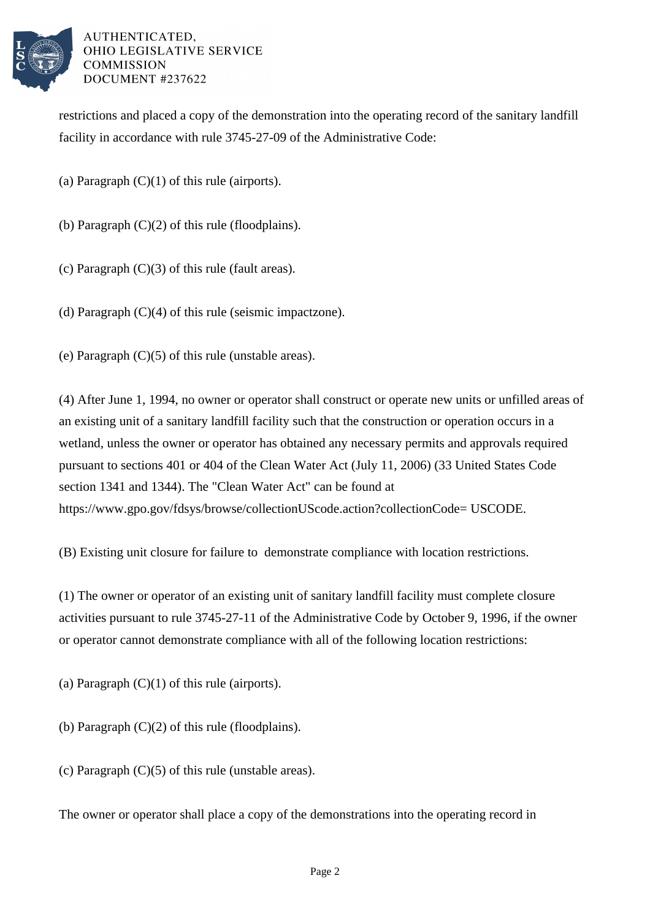

AUTHENTICATED. OHIO LEGISLATIVE SERVICE **COMMISSION** DOCUMENT #237622

restrictions and placed a copy of the demonstration into the operating record of the sanitary landfill facility in accordance with rule 3745-27-09 of the Administrative Code:

- (a) Paragraph  $(C)(1)$  of this rule (airports).
- (b) Paragraph  $(C)(2)$  of this rule (floodplains).
- (c) Paragraph (C)(3) of this rule (fault areas).
- (d) Paragraph  $(C)(4)$  of this rule (seismic impact zone).

(e) Paragraph (C)(5) of this rule (unstable areas).

(4) After June 1, 1994, no owner or operator shall construct or operate new units or unfilled areas of an existing unit of a sanitary landfill facility such that the construction or operation occurs in a wetland, unless the owner or operator has obtained any necessary permits and approvals required pursuant to sections 401 or 404 of the Clean Water Act (July 11, 2006) (33 United States Code section 1341 and 1344). The "Clean Water Act" can be found at https://www.gpo.gov/fdsys/browse/collectionUScode.action?collectionCode= USCODE.

(B) Existing unit closure for failure to demonstrate compliance with location restrictions.

(1) The owner or operator of an existing unit of sanitary landfill facility must complete closure activities pursuant to rule 3745-27-11 of the Administrative Code by October 9, 1996, if the owner or operator cannot demonstrate compliance with all of the following location restrictions:

(a) Paragraph  $(C)(1)$  of this rule (airports).

(b) Paragraph (C)(2) of this rule (floodplains).

(c) Paragraph  $(C)(5)$  of this rule (unstable areas).

The owner or operator shall place a copy of the demonstrations into the operating record in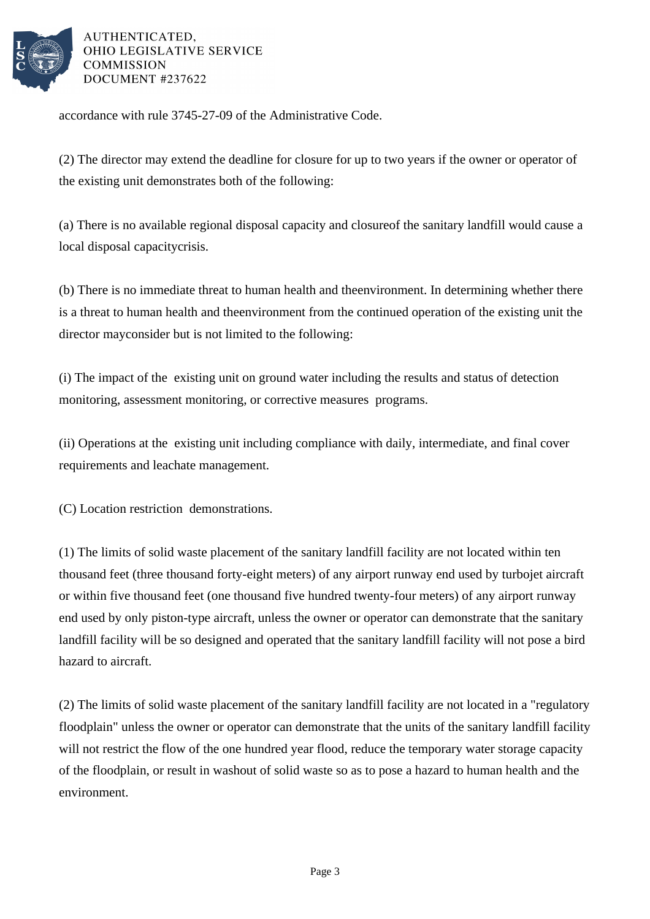

## AUTHENTICATED. OHIO LEGISLATIVE SERVICE **COMMISSION** DOCUMENT #237622

accordance with rule 3745-27-09 of the Administrative Code.

(2) The director may extend the deadline for closure for up to two years if the owner or operator of the existing unit demonstrates both of the following:

(a) There is no available regional disposal capacity and closure of the sanitary landfill would cause a local disposal capacity crisis.

(b) There is no immediate threat to human health and the environment. In determining whether there is a threat to human health and the environment from the continued operation of the existing unit the director may consider but is not limited to the following:

(i) The impact of the existing unit on ground water including the results and status of detection monitoring, assessment monitoring, or corrective measures programs.

(ii) Operations at the existing unit including compliance with daily, intermediate, and final cover requirements and leachate management.

(C) Location restriction demonstrations.

(1) The limits of solid waste placement of the sanitary landfill facility are not located within ten thousand feet (three thousand forty-eight meters) of any airport runway end used by turbojet aircraft or within five thousand feet (one thousand five hundred twenty-four meters) of any airport runway end used by only piston-type aircraft, unless the owner or operator can demonstrate that the sanitary landfill facility will be so designed and operated that the sanitary landfill facility will not pose a bird hazard to aircraft.

(2) The limits of solid waste placement of the sanitary landfill facility are not located in a "regulatory floodplain" unless the owner or operator can demonstrate that the units of the sanitary landfill facility will not restrict the flow of the one hundred year flood, reduce the temporary water storage capacity of the floodplain, or result in washout of solid waste so as to pose a hazard to human health and the environment.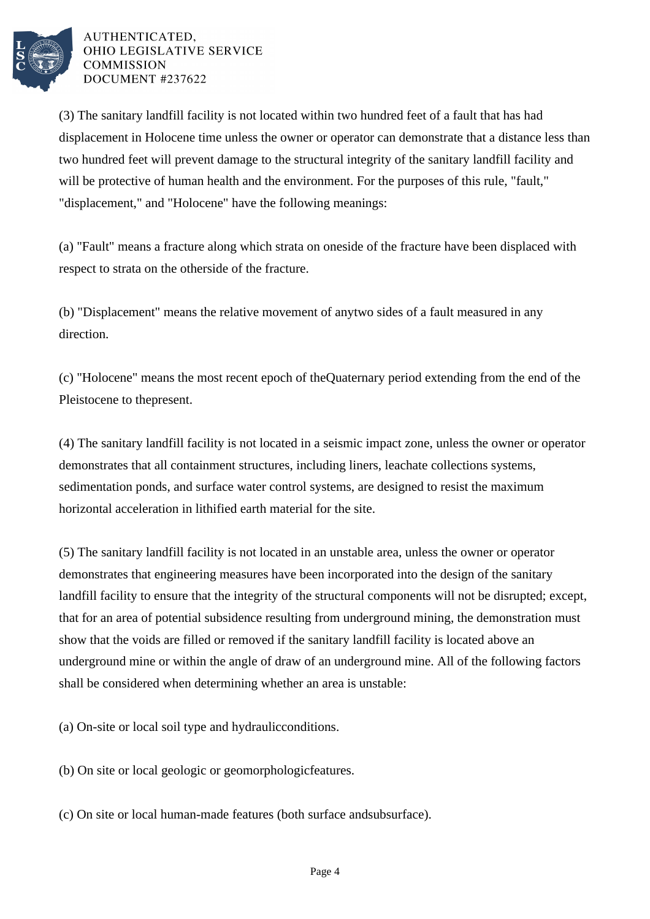

## AUTHENTICATED. OHIO LEGISLATIVE SERVICE **COMMISSION** DOCUMENT #237622

(3) The sanitary landfill facility is not located within two hundred feet of a fault that has had displacement in Holocene time unless the owner or operator can demonstrate that a distance less than two hundred feet will prevent damage to the structural integrity of the sanitary landfill facility and will be protective of human health and the environment. For the purposes of this rule, "fault," "displacement," and "Holocene" have the following meanings:

(a) "Fault" means a fracture along which strata on one side of the fracture have been displaced with respect to strata on the other side of the fracture.

(b) "Displacement" means the relative movement of any two sides of a fault measured in any direction.

(c) "Holocene" means the most recent epoch of the Quaternary period extending from the end of the Pleistocene to the present.

(4) The sanitary landfill facility is not located in a seismic impact zone, unless the owner or operator demonstrates that all containment structures, including liners, leachate collections systems, sedimentation ponds, and surface water control systems, are designed to resist the maximum horizontal acceleration in lithified earth material for the site.

(5) The sanitary landfill facility is not located in an unstable area, unless the owner or operator demonstrates that engineering measures have been incorporated into the design of the sanitary landfill facility to ensure that the integrity of the structural components will not be disrupted; except, that for an area of potential subsidence resulting from underground mining, the demonstration must show that the voids are filled or removed if the sanitary landfill facility is located above an underground mine or within the angle of draw of an underground mine. All of the following factors shall be considered when determining whether an area is unstable:

(a) On-site or local soil type and hydraulic conditions.

(b) On site or local geologic or geomorphologic features.

(c) On site or local human-made features (both surface and subsurface).